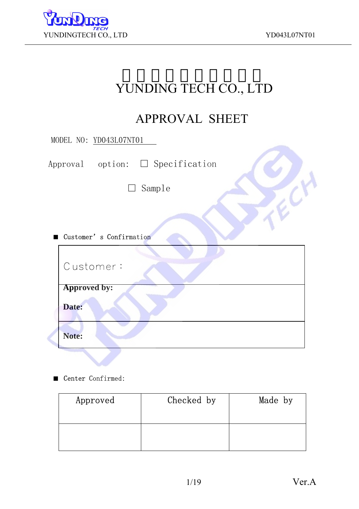

# YUNDING TECH CO., LTD

# APPROVAL SHEET

| MODEL NO: YD043L07NT01                |
|---------------------------------------|
| Approval option: $\Box$ Specification |
| Sample<br>$\Box$                      |
|                                       |
| Customer's Confirmation               |
| Customer:                             |
| <b>Approved by:</b>                   |
| Date:                                 |
| Note:                                 |

■ Center Confirmed:

| Approved | Checked by | Made by |
|----------|------------|---------|
|          |            |         |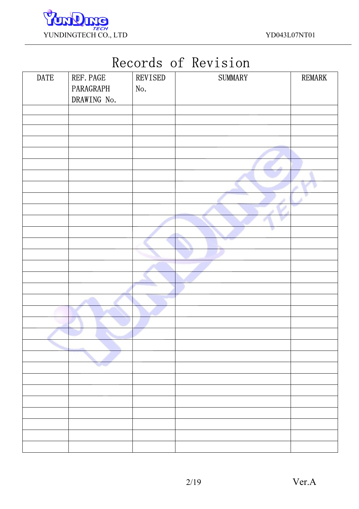

# Records of Revision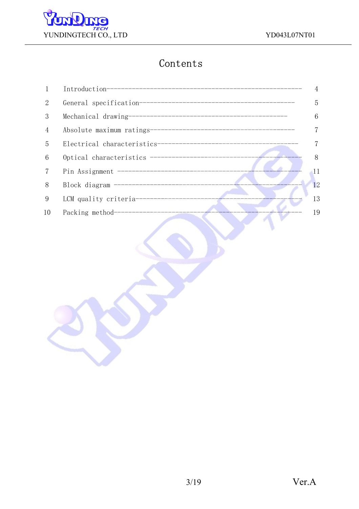

## Contents

| 1               |    |
|-----------------|----|
| $\overline{2}$  | 5  |
| 3               | 6  |
| 4               |    |
| 5               |    |
| $6\phantom{1}6$ | 8  |
| $7\phantom{.0}$ | 11 |
| 8               | 12 |
| 9               | 13 |
| 10              | 19 |
|                 |    |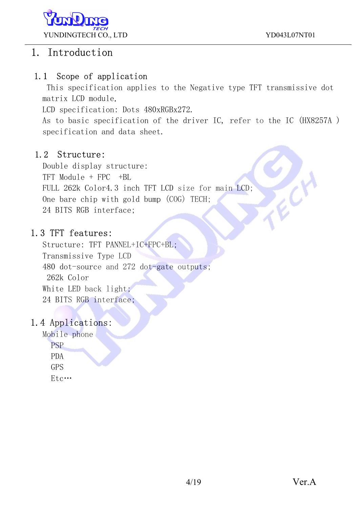

ECI

## 1. Introduction

## 1.1 Scope of application

 This specification applies to the Negative type TFT transmissive dot matrix LCD module.

LCD specification: Dots 480xRGBx272.

As to basic specification of the driver IC, refer to the IC (HX8257A ) specification and data sheet.

## 1.2 Structure:

Double display structure: TFT Module + FPC +BL FULL 262k Color4.3 inch TFT LCD size for main LCD; One bare chip with gold bump (COG) TECH; 24 BITS RGB interface;

## 1.3 TFT features:

Structure: TFT PANNEL+IC+FPC+BL; Transmissive Type LCD 480 dot-source and 272 dot-gate outputs; 262k Color White LED back light; 24 BITS RGB interface;

## 1.4 Applications:

Mobile phone PSP PDA GPS Etc…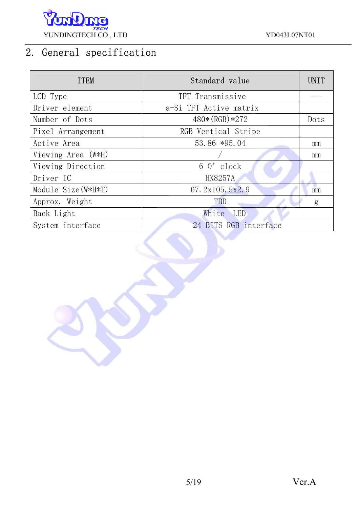

# 2. General specification

| <b>ITEM</b>         | Standard value         | UNTT |
|---------------------|------------------------|------|
| LCD Type            | TFT Transmissive       |      |
| Driver element      | a-Si TFT Active matrix |      |
| Number of Dots      | $480*(RGB)*272$        | Dots |
| Pixel Arrangement   | RGB Vertical Stripe    |      |
| Active Area         | 53.86 *95.04           | mm   |
| Viewing Area (W*H)  |                        | mm   |
| Viewing Direction   | $60'$ clock            |      |
| Driver IC           | <b>HX8257A</b>         |      |
| Module Size (W*H*T) | 67.2x105.5x2.9         | mm   |
| Approx. Weight      | <b>TBD</b>             | g    |
| Back Light          | White<br>LED           |      |
| System interface    | 24 BITS RGB interface  |      |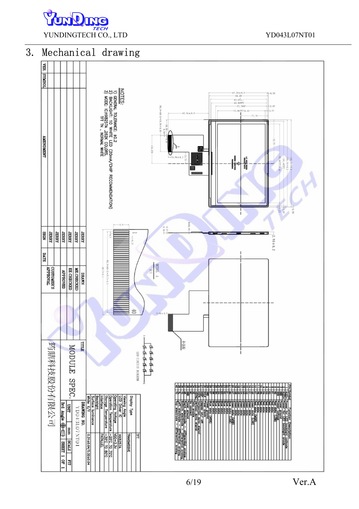

# 3. Mechanical drawing

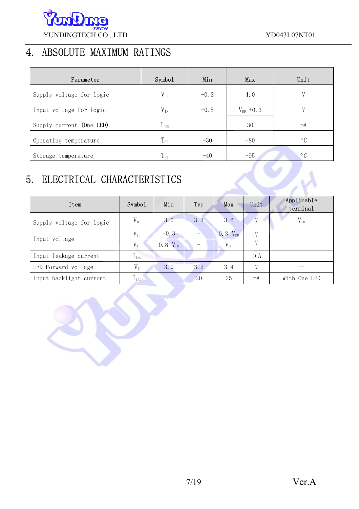

 $\mathcal{L}_{\mathcal{A}}$ 

# 4. ABSOLUTE MAXIMUM RATINGS

| Parameter                | Symbol    | Min    | Max           | Unit      |
|--------------------------|-----------|--------|---------------|-----------|
| Supply voltage for logic | $V_{DD}$  | $-0.3$ | 4.0           | V         |
| Input voltage for logic  | $V_{IN}$  | $-0.5$ | $V_{DD}$ +0.3 | V         |
| Supply current (One LED) | $1_{LED}$ |        | 30            | mA        |
| Operating temperature    | $T_{0P}$  | $-30$  | $+80$         | $\circ$ C |
| Storage temperature      | $T_{ST}$  | $-40$  | $+95$         | $\circ$ C |

# 5. ELECTRICAL CHARACTERISTICS

| Item                     | Symbo1                           | Min          | Typ | Max          | Unit         | Applicable<br>terminal |
|--------------------------|----------------------------------|--------------|-----|--------------|--------------|------------------------|
| Supply voltage for logic | $V_{DD}$                         | 3.0          | 3.3 | 3.6          | $\mathbf{V}$ | $V_{\text{\tiny{DD}}}$ |
|                          | $V_{IL}$                         | $-0.3$       |     | $0.3 V_{DD}$ | $\mathbf{V}$ |                        |
| Input voltage            | $V_{IH}$                         | $0.8 V_{DD}$ |     | $V_{DD}$     | V            |                        |
| Input leakage current    | $I_{LKG}$                        |              |     |              | μA           |                        |
| LED Forward voltage      | $V_f$                            | 3.0          | 3.2 | 3.4          | V            |                        |
| Input backlight current  | $\rm I_{\scriptscriptstyle LED}$ |              | 20  | 25           | mA           | With One LED           |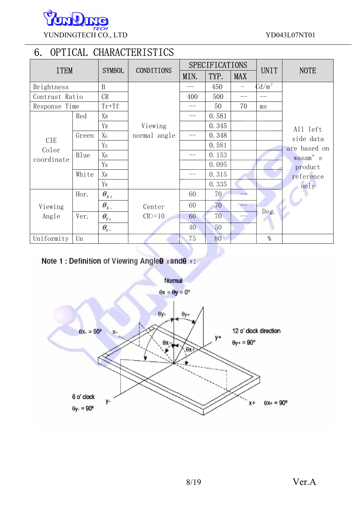

## 6. OPTICAL CHARACTERISTICS

| <b>ITEM</b>    |       |                                  | <b>CONDITIONS</b><br><b>SYMBOL</b> |      | <b>SPECIFICATIONS</b> |     | <b>UNIT</b>       | <b>NOTE</b>  |
|----------------|-------|----------------------------------|------------------------------------|------|-----------------------|-----|-------------------|--------------|
|                |       |                                  |                                    | MIN. | TYP.                  | MAX |                   |              |
| Brightness     |       | $\mathbf B$                      |                                    |      | 450                   |     | Cd/m <sup>2</sup> |              |
| Contrast Ratio |       | CR                               |                                    | 400  | 500                   | $-$ | --                |              |
| Response Time  |       | $Tr+Tf$                          |                                    |      | 50                    | 70  | ms                |              |
|                | Red   | X <sub>R</sub>                   |                                    |      | 0.581                 |     |                   |              |
|                |       | YR                               | Viewing                            |      | 0.345                 |     |                   | All left     |
| <b>CIE</b>     | Green | $X_G$                            | normal angle                       |      | 0.348                 |     |                   | side data    |
| Color          |       | Y <sub>G</sub>                   |                                    |      | 0.581                 |     |                   | are based on |
| coordinate     | Blue  | $X_B$                            |                                    |      | 0.153                 |     |                   | wasam's      |
|                |       | $Y_B$                            |                                    |      | 0.095                 |     |                   | product      |
|                | White | Xw                               |                                    |      | 0.315                 |     |                   | reference    |
|                |       | Yw                               |                                    |      | 0.335                 |     |                   | only         |
|                | Hor.  | $\theta_{X+}$                    |                                    | 60   | 70                    |     |                   |              |
| Viewing        |       | $\theta_{X-}$                    | Center                             | 60   | 70                    |     |                   |              |
| Angle          | Ver.  | $\theta_{\scriptscriptstyle Y+}$ | $CR \ge 10$                        | 60   | 70                    |     | Deg.              |              |
|                |       | $\theta_{Y-}$                    |                                    | 40   | 50                    |     |                   |              |
| Uniformity     | Un    |                                  |                                    | 75   | 80                    |     | $\%$              |              |

Note 1 : Definition of Viewing Angle 9 x and 9 y:

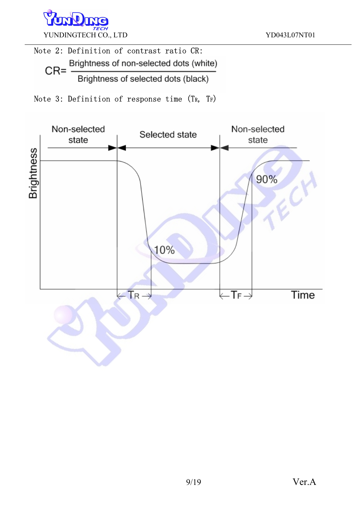

Note 2: Definition of contrast ratio CR: Brightness of non-selected dots (white)  $CR = \frac{1}{2}$ Brightness of selected dots (black)



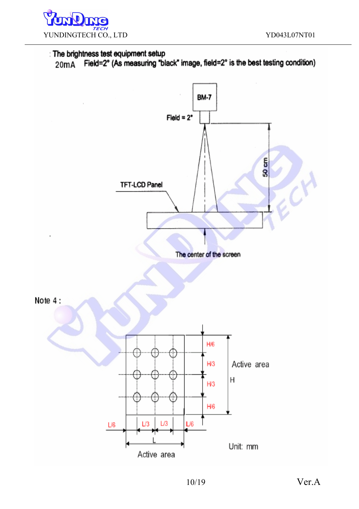

## : The brightness test equipment setup

Field=2° (As measuring "black" image, field=2° is the best testing condition) 20mA

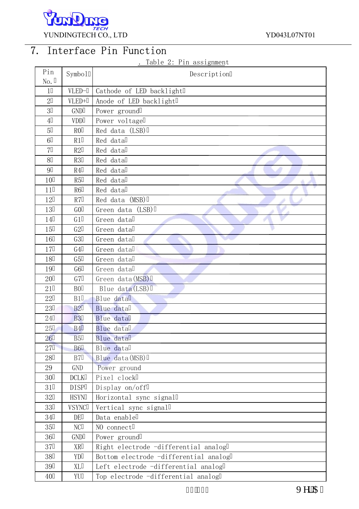

# 7. Interface Pin Function

## . Table 2: Pin assignment

| Pin<br>$No.$ " | Symbol"                                                               | Description"                           |
|----------------|-----------------------------------------------------------------------|----------------------------------------|
| $1\mathrm{''}$ | $VLED-"$                                                              | Cathode of LED backlight"              |
| $2"$           | $\ensuremath{\mathsf{VLED+}}\xspace^{\boldsymbol{\mathsf{r}}\xspace}$ | Anode of LED backlight"                |
| 3"             | GND"                                                                  | Power ground"                          |
| 4"             | VDD"                                                                  | Power voltage"                         |
| 5"             | RO''                                                                  | Red data (LSB)"                        |
| 6"             | R1"                                                                   | Red data"                              |
| 7"             | R2"                                                                   | Red data"                              |
| 8"             | R3"                                                                   | Red data"                              |
| 9"             | R4"                                                                   | Red data"                              |
| 10"            | R5"                                                                   | Red data"                              |
| 11"            | R6"                                                                   | Red data"                              |
| 12"            | R7"                                                                   | Red data (MSB)"                        |
| 13"            | G0"                                                                   | Green data (LSB)"                      |
| 14"            | G1"                                                                   | Green data"                            |
| 15"            | G2"                                                                   | Green data"                            |
| 16"            | G3"                                                                   | Green data"                            |
| $17"$          | G4"                                                                   | Green data"                            |
| 18"            | G5"                                                                   | Green data"                            |
| 19"            | G6"                                                                   | Green data"                            |
| 20"            | G7"                                                                   | Green data (MSB)"                      |
| 21"            | BO''                                                                  | Blue data (LSB)"                       |
| 22"            | B1"                                                                   | Blue data"                             |
| 23"            | B2"                                                                   | Blue data"                             |
| 24"            | <b>B3"</b>                                                            | Blue data"                             |
| 25"            | <b>B4"</b>                                                            | Blue data"                             |
| 26"            | <b>B5"</b>                                                            | Blue data"                             |
| 27"            | <b>B6"</b>                                                            | Blue data"                             |
| 28"            | $\rm B7"$                                                             | Blue data (MSB)"                       |
| 29             | GND                                                                   | Power ground                           |
| 30"            | DCLK"                                                                 | Pixel clock"                           |
| 31"            | DISP"                                                                 | Display on/off"                        |
| 32"            | HSYN"                                                                 | Horizontal sync signal"                |
| 33"            | VSYNC"                                                                | Vertical sync signal"                  |
| 34"            | $DE$ "                                                                | Data enable"                           |
| 35"            | $\mathrm{NC}^n$                                                       | NO connect"                            |
| 36"            | $\operatorname{GND}$ "                                                | Power ground"                          |
| 37"            | XR"                                                                   | Right electrode -differential analog"  |
| 38"            | YD"                                                                   | Bottom electrode -differential analog" |
| 39"            | $\mathtt{XL}$ "                                                       | Left electrode -differential analog"   |
| 40"            | YU"                                                                   | Top electrode -differential analog"    |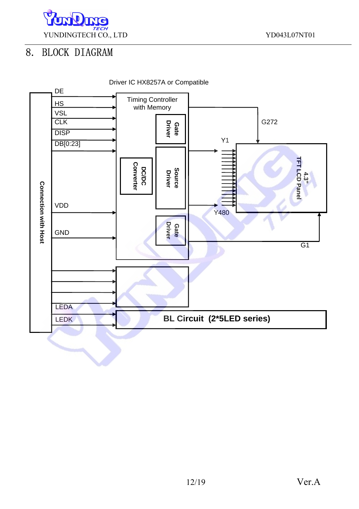

## 8. BLOCK DIAGRAM

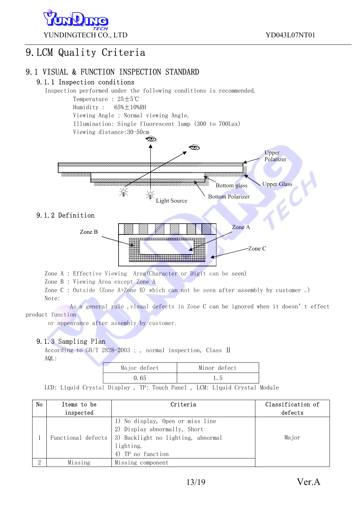![](_page_12_Picture_0.jpeg)

## 9.LCM Quality Criteria

### 9.1 VISUAL & FUNCTION INSPECTION STANDARD

#### 9.1.1 Inspection conditions

Inspection performed under the following conditions is recommended.

Temperature : 25±5℃ Humidity : 65%±10%RH Viewing Angle : Normal viewing Angle. Illumination: Single fluorescent lamp (300 to 700Lux) Viewing distance:30-50cm

![](_page_12_Figure_7.jpeg)

#### 9.1.2 Definition

![](_page_12_Figure_9.jpeg)

Zone A : Effective Viewing Area(Character or Digit can be seen)

Zone B : Viewing Area except Zone A

Zone C : Outside (Zone A+Zone B) which can not be seen after assembly by customer .) Note:

As a general rule, visual defects in Zone C can be ignored when it doesn't effect product function

or appearance after assembly by customer.

### 9.1.3 Sampling Plan

According to GB/T 2828-2003 ; , normal inspection, Class II AQL:

| Major defect | Minor defect |
|--------------|--------------|
| 0.65         |              |

LCD: Liquid Crystal Display , TP: Touch Panel , LCM: Liquid Crystal Module

| No       | Items to be<br>inspected | Criteria                                                                                                                                                    | Classification of<br>defects |
|----------|--------------------------|-------------------------------------------------------------------------------------------------------------------------------------------------------------|------------------------------|
|          |                          | 1) No display, Open or miss line<br>2) Display abnormally, Short<br>Functional defects 3) Backlight no lighting, abnormal<br>lighting.<br>4) TP no function | Major                        |
| $\Omega$ | Missing                  | Missing component                                                                                                                                           |                              |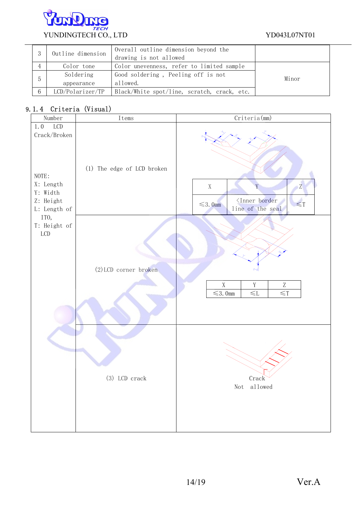![](_page_13_Picture_0.jpeg)

|    | Outline dimension | Overall outline dimension beyond the        |       |
|----|-------------------|---------------------------------------------|-------|
|    |                   | drawing is not allowed                      |       |
|    | Color tone        | Color unevenness, refer to limited sample   |       |
|    | Soldering         | Good soldering, Peeling off is not          | Minor |
| G, | appearance        | allowed.                                    |       |
| 6  | LCD/Polarizer/TP  | Black/White spot/line, scratch, crack, etc. |       |

### 9.1.4 Criteria (Visual)

| $\texttt{Number}$                                                                                                                                    | $\mbox{Items}$             | Criteria (mm)                                                                                         |  |  |  |
|------------------------------------------------------------------------------------------------------------------------------------------------------|----------------------------|-------------------------------------------------------------------------------------------------------|--|--|--|
| 1.0<br>$\ensuremath{\text{LCD}}$<br>Crack/Broken<br>NOTE:<br>X: Length<br>Y: Width<br>Z: Height<br>L: Length of<br>ITO,<br>T: Height of<br>$\rm LCD$ | (1) The edge of LCD broken | Z<br>$\mathbf X$<br>$\langle$ Inner border<br>$\leq$ T<br>$\leq 3.0$ mm<br>line of the seal           |  |  |  |
|                                                                                                                                                      | (2) LCD corner broken      | $\mathbf X$<br>$\ensuremath{\mathbf{Z}}$<br>$\mathbf Y$<br>$\leq 3.0$ mm<br>$\leq$ T<br>$\leqslant$ L |  |  |  |
|                                                                                                                                                      | (3) LCD crack              | Crack<br>Not allowed                                                                                  |  |  |  |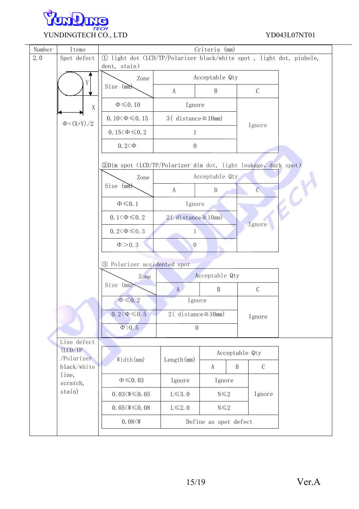![](_page_14_Picture_0.jpeg)

| Number | Items                   | Criteria (mm)                                                  |                                                                      |                             |                             |  |  |
|--------|-------------------------|----------------------------------------------------------------|----------------------------------------------------------------------|-----------------------------|-----------------------------|--|--|
| 2.0    | Spot defect             |                                                                | 1) light dot (LCD/TP/Polarizer black/white spot, light dot, pinhole, |                             |                             |  |  |
|        |                         | dent, stain)<br>Acceptable Qty                                 |                                                                      |                             |                             |  |  |
|        | Y                       | Zone<br>Size<br>(mm)                                           |                                                                      |                             |                             |  |  |
|        |                         |                                                                | $\boldsymbol{A}$                                                     | $\boldsymbol{B}$            | $\mathcal{C}$               |  |  |
|        | $\mathbf X$             | $\Phi \leq 0.10$                                               | Ignore                                                               |                             |                             |  |  |
|        | $\Phi = (X+Y)/2$        | 0.10 $\&$ 0.15                                                 |                                                                      | $3($ distance $\geq 10$ mm) |                             |  |  |
|        |                         | 0.15 $\leq \Phi \leq 0.2$                                      | 1<br>$\theta$                                                        |                             | Ignore                      |  |  |
|        |                         | $0.2 < \Phi$                                                   |                                                                      |                             |                             |  |  |
|        |                         | 2Dim spot (LCD/TP/Polarizer dim dot, light leakage, dark spot) |                                                                      |                             |                             |  |  |
|        |                         | Zone                                                           |                                                                      | Acceptable Qty              |                             |  |  |
|        |                         | Size<br>(mm)                                                   | A                                                                    | $\mathbf{B}$                | $\overline{C}$              |  |  |
|        |                         | $\Phi \leq 0.1$                                                | Ignore                                                               |                             |                             |  |  |
|        |                         | $0.1 \leq \Phi \leq 0.2$                                       | $2$ (distance $\geq$ 10mm)                                           |                             |                             |  |  |
|        |                         | $0.2 \leq \Phi \leq 0.3$                                       | $\mathbf{1}$                                                         |                             | Ignore                      |  |  |
|        |                         | $\Phi > 0.3$                                                   | $\theta$                                                             |                             |                             |  |  |
|        |                         | 3 Polarizer accidented spot                                    |                                                                      |                             |                             |  |  |
|        |                         | Zone                                                           |                                                                      | Acceptable Qty              |                             |  |  |
|        |                         | Size<br>(mm)                                                   | A                                                                    | $\, {\bf B}$                | $\mathbf C$                 |  |  |
|        |                         |                                                                | $\Phi \leq 0.2$                                                      | Ignore                      |                             |  |  |
|        |                         | $0.2 \leq \Phi \leq 0.5$                                       | $2$ (distance $\geq$ 10mm)                                           |                             | Ignore                      |  |  |
|        |                         | $\Phi$ >0.5                                                    | $\overline{0}$                                                       |                             |                             |  |  |
|        | Line defect<br>(LCD/TP) |                                                                |                                                                      |                             |                             |  |  |
|        | /Polarizer              | Width (mm)                                                     | Length (mm)                                                          |                             | Acceptable Qty              |  |  |
|        | black/white<br>line,    |                                                                |                                                                      | A                           | $\, {\bf B}$<br>$\mathsf C$ |  |  |
|        | scratch,                | $\Phi \leq 0.03$                                               | Ignore                                                               | Ignore                      |                             |  |  |
|        | stain)                  | $0.03 \leq W \leq 0.05$                                        | $L \leq 3.0$                                                         | $N \leq 2$                  | Ignore                      |  |  |
|        |                         | $0.05\leq \text{W} \leq 0.08$                                  | $L \leq 2.0$                                                         | $N \leq 2$                  |                             |  |  |
|        |                         | 0.08 < W                                                       |                                                                      | Define as spot defect       |                             |  |  |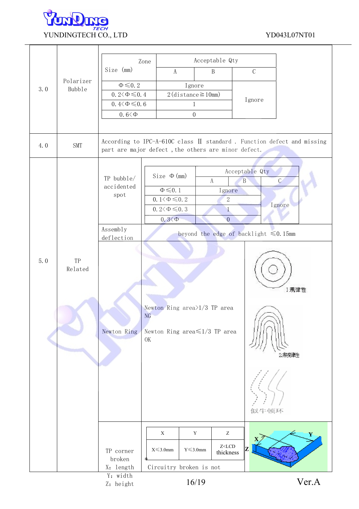![](_page_15_Picture_0.jpeg)

|     |               | Zone                             |                                                                                                             | Acceptable Qty                                                                      |                                                                        |  |  |
|-----|---------------|----------------------------------|-------------------------------------------------------------------------------------------------------------|-------------------------------------------------------------------------------------|------------------------------------------------------------------------|--|--|
|     |               | Size (mm)                        | $\mathbf{A}$                                                                                                | $\mathbf{B}$                                                                        | $\mathcal{C}$                                                          |  |  |
|     | Polarizer     | $\Phi \leq 0.2$                  |                                                                                                             | Ignore                                                                              |                                                                        |  |  |
| 3.0 | <b>Bubble</b> | $0.2 \leq \Phi \leq 0.4$         |                                                                                                             | $2$ (distance $\geq 10$ mm)                                                         |                                                                        |  |  |
|     |               | $0.4 \leq \Phi \leq 0.6$         |                                                                                                             | $\mathbf{1}$                                                                        | Ignore                                                                 |  |  |
|     |               | $0.6 < \Phi$                     |                                                                                                             | $\overline{0}$                                                                      |                                                                        |  |  |
|     |               |                                  |                                                                                                             |                                                                                     |                                                                        |  |  |
| 4.0 | SMT           |                                  | part are major defect, the others are minor defect.                                                         |                                                                                     | According to IPC-A-610C class II standard. Function defect and missing |  |  |
|     |               | TP bubble/<br>accidented<br>spot | Size $\Phi$ (mm)<br>$\Phi \leq 0.1$<br>0.1 $\leq \Phi \leq 0.2$<br>$0.2 \leq \Phi \leq 0.3$<br>$0.3 < \Phi$ | $\mathbf{A}$<br>Ignore<br>$\overline{2}$<br>$\mathbf{1}$<br>$\overline{0}$          | Acceptable Qty<br>$\mathcal{C}$<br>B<br>Ignore                         |  |  |
|     |               | Assembly<br>deflection           | beyond the edge of backlight $\leq 0.15$ mm                                                                 |                                                                                     |                                                                        |  |  |
| 5.0 | TP<br>Related | Newton Ring                      | Newton Ring area $>1/3$ TP area<br>NG<br>Newton Ring area $\leq 1/3$ TP area<br>OK                          |                                                                                     | 1規律性<br>規律性<br>似牛顿环                                                    |  |  |
|     |               | TP corner<br>broken<br>X: length | $\mathbf X$<br>$X \leq 3.0$ mm<br>Circuitry broken is not                                                   | $\mathbf Y$<br>$\boldsymbol{Z}$<br>$Z<\!\!{\rm LCD}$<br>$Y \le 3.0$ mm<br>thickness | Z                                                                      |  |  |
|     |               | Y: width<br>Z: height            |                                                                                                             | 16/19                                                                               | Ver.A                                                                  |  |  |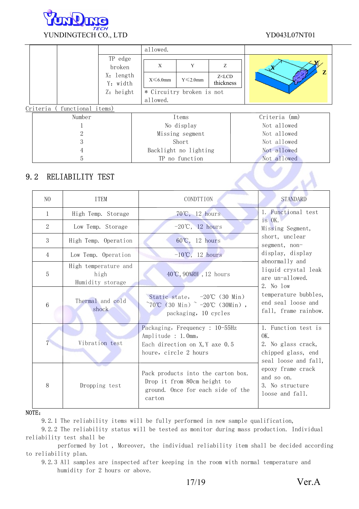![](_page_16_Picture_0.jpeg)

|                               |                                | allowed.              |                           |              |             |               |
|-------------------------------|--------------------------------|-----------------------|---------------------------|--------------|-------------|---------------|
|                               | TP edge<br>broken<br>X: length | X                     | Y                         | Z<br>Z < LCD |             | ${\bf z}$     |
|                               | Y: width                       | $X \le 6.0$ mm        | $Y \le 2.0$ mm            | thickness    |             |               |
| Z: height                     |                                |                       | * Circuitry broken is not |              |             |               |
|                               |                                | allowed.              |                           |              |             |               |
| functional items)<br>Criteria |                                |                       |                           |              |             |               |
| Number                        |                                | Items                 |                           |              |             | Criteria (mm) |
|                               | No display                     |                       |                           |              | Not allowed |               |
|                               | Missing segment                |                       |                           |              | Not allowed |               |
|                               | Short                          |                       |                           |              | Not allowed |               |
|                               |                                | Backlight no lighting |                           |              | Not allowed |               |
| ხ                             |                                | TP no function        |                           |              | Not allowed |               |

### 9.2 RELIABILITY TEST

| N <sub>O</sub> | <b>ITEM</b>                                      | <b>CONDTTION</b>                                                                                                  | <b>STANDARD</b>                                                                                |  |  |
|----------------|--------------------------------------------------|-------------------------------------------------------------------------------------------------------------------|------------------------------------------------------------------------------------------------|--|--|
| $\mathbf{1}$   | High Temp. Storage                               | 70℃, 12 hours                                                                                                     | 1. Functional test                                                                             |  |  |
| 2              | Low Temp. Storage                                | $-20^{\circ}$ C, 12 hours                                                                                         | is OK.<br>Missing Segment,                                                                     |  |  |
| 3              | High Temp. Operation                             | $60^{\circ}C$ , 12 hours                                                                                          | short, unclear<br>segment, non-                                                                |  |  |
| 4              | Low Temp. Operation                              | $-10^{\circ}$ C, 12 hours                                                                                         | display, display                                                                               |  |  |
| 5              | High temperature and<br>high<br>Humidity storage | 40°C, 90%RH, 12 hours                                                                                             | abnormally and<br>liquid crystal leak<br>are un-allowed.                                       |  |  |
| $\,6$          | Thermal and cold<br>shock                        | Static state, $-20^{\circ}C$ (30 Min)<br>$\degree$ 70°C (30 Min) $\degree$ -20°C (30Min),<br>packaging, 10 cycles | 2. No low<br>temperature bubbles,<br>end seal loose and<br>fall, frame rainbow.                |  |  |
|                | Vibration test                                   | Packaging, Frequency: 10-55Hz<br>Amplitude : 1.0mm,<br>Each direction on X, Y axe 0.5<br>houre, circle 2 hours    | 1. Function test is<br>OK.<br>2. No glass crack,<br>chipped glass, end<br>seal loose and fall, |  |  |
| 8              | Dropping test                                    | Pack products into the carton box.<br>Drop it from 80cm height to<br>ground. Once for each side of the<br>carton  | epoxy frame crack<br>and so on.<br>3. No structure<br>loose and fall.                          |  |  |

#### NOTE:

9.2.1 The reliability items will be fully performed in new sample qualification,

9.2.2 The reliability status will be tested as monitor during mass production. Individual reliability test shall be

performed by lot , Moreover, the individual reliability item shall be decided according to reliability plan.

9.2.3 All samples are inspected after keeping in the room with normal temperature and humidity for 2 hours or above.

![](_page_16_Picture_11.jpeg)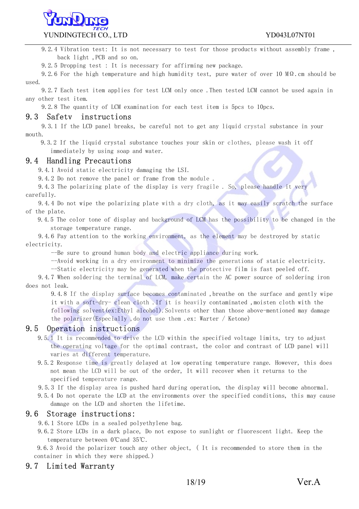![](_page_17_Picture_0.jpeg)

9.2.4 Vibration test: It is not necessary to test for those products without assembly frame , back light ,PCB and so on.

9.2.5 Dropping test : It is necessary for affirming new package.

9.2.6 For the high temperature and high humidity test, pure water of over 10 MΩ.cm should be used.

9.2.7 Each test item applies for test LCM only once .Then tested LCM cannot be used again in any other test item.

9.2.8 The quantity of LCM examination for each test item is 5pcs to 10pcs.

#### 9.3 Safetv instructions

9.3.1 If the LCD panel breaks, be careful not to get any liquid crystal substance in your mouth.

9.3.2 If the liquid crystal substance touches your skin or clothes, please wash it off immediately by using soap and water.

### 9.4 Handling Precautions

9.4.1 Avoid static electricity damaging the LSI.

9.4.2 Do not remove the panel or frame from the module .

9.4.3 The polarizing plate of the display is very fragile . So, please handle it very carefully.

9.4.4 Do not wipe the polarizing plate with a dry cloth, as it may easily scratch the surface of the plate.

9.4.5 The color tone of display and background of LCM has the possibility to be changed in the storage temperature range.

9.4.6 Pay attention to the working environment, as the element may be destroyed by static electricity.

--Be sure to ground human body and electric appliance during work.

--Avoid working in a dry environment to minimize the generations of static electricity.

--Static electricity may be generated when the protective film is fast peeled off.

9.4.7 When soldering the terminal of LCM, make certain the AC power source of soldering iron does not leak.

 9.4.8 If the display surface becomes contaminated ,breathe on the surface and gently wipe it with a soft-dry- clean cloth .If it is heavily contaminated ,moisten cloth with the following solvent(ex:Ethyl alcohol).Solvents other than those above-mentioned may damage the polarizer (Especially, do not use them .ex: Warter / Ketone)

### 9.5 Operation instructions

- 9.5.1 It is recommended to drive the LCD within the specified voltage limits, try to adjust the operating voltage for the optimal contrast, the color and contrast of LCD panel will varies at different temperature.
- 9.5.2 Response time is greatly delayed at low operating temperature range. However, this does not mean the LCD will be out of the order, It will recover when it returns to the specified temperature range.
- 9.5.3 If the display area is pushed hard during operation, the display will become abnormal.
- 9.5.4 Do not operate the LCD at the environments over the specified conditions, this may cause damage on the LCD and shorten the lifetime.

### 9.6 Storage instructions:

9.6.1 Store LCDs in a sealed polyethylene bag.

9.6.2 Store LCDs in a dark place, Do not expose to sunlight or fluorescent light. Keep the temperature between 0℃and 35℃.

9.6.3 Avoid the polarizer touch any other object, ( It is recommended to store them in the container in which they were shipped.)

### 9.7 Limited Warranty